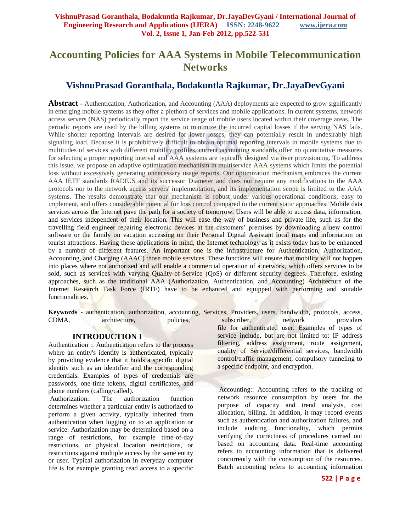# **Accounting Policies for AAA Systems in Mobile Telecommunication Networks**

## **VishnuPrasad Goranthala, Bodakuntla Rajkumar, Dr.JayaDevGyani**

**Abstract -** Authentication, Authorization, and Accounting (AAA) deployments are expected to grow significantly in emerging mobile systems as they offer a plethora of services and mobile applications. In current systems, network access servers (NAS) periodically report the service usage of mobile users located within their coverage areas. The periodic reports are used by the billing systems to minimize the incurred capital losses if the serving NAS fails. While shorter reporting intervals are desired for lower losses, they can potentially result in undesirably high signaling load. Because it is prohibitively difficult to obtain optimal reporting intervals in mobile systems due to multitudes of services with different mobility profiles, current accounting standards offer no quantitative measures for selecting a proper reporting interval and AAA systems are typically designed via over provisioning. To address this issue, we propose an adaptive optimization mechanism in multiservice AAA systems which limits the potential loss without excessively generating unnecessary usage reports. Our optimization mechanism embraces the current AAA IETF standards RADIUS and its successor Diameter and does not require any modifications to the AAA protocols nor to the network access servers' implementation, and its implementation scope is limited to the AAA systems. The results demonstrate that our mechanism is robust under various operational conditions, easy to implement, and offers considerable potential for loss control compared to the current static approaches. Mobile data services across the Internet pave the path for a society of tomorrow. Users will be able to access data, information, and services independent of their location. This will ease the way of business and private life, such as for the travelling field engineer repairing electronic devices at the customers' premises by downloading a new control software or the family on vacation accessing on their Personal Digital Assistant local maps and information on tourist attractions. Having these applications in mind, the Internet technology as it exists today has to be enhanced by a number of different features. An important one is the infrastructure for Authentication, Authorization, Accounting, and Charging (AAAC) those mobile services. These functions will ensure that mobility will not happen into places where not authorized and will enable a commercial operation of a network, which offers services to be sold, such as services with varying Quality-of-Service (QoS) or different security degrees. Therefore, existing approaches, such as the traditional AAA (Authorization, Authentication, and Accounting) Architecture of the Internet Research Task Force (IRTF) have to be enhanced and equipped with performing and suitable functionalities.

**Keywords** - authentication, authorization, accounting, Services, Providers, users, bandwidth, protocols, access, CDMA, architecture, policies, subscriber, network providers

## **INTRODUCTION I**

Authentication :: Authentication refers to the process where an entity's identity is authenticated, typically by providing evidence that it holds a specific digital identity such as an identifier and the corresponding credentials. Examples of types of credentials are passwords, one-time tokens, digital certificates, and phone numbers (calling/called).

Authorization:: The authorization function determines whether a particular entity is authorized to perform a given activity, typically inherited from authentication when logging on to an application or service. Authorization may be determined based on a range of restrictions, for example time-of-day restrictions, or physical location restrictions, or restrictions against multiple access by the same entity or user. Typical authorization in everyday computer life is for example granting read access to a specific

file for authenticated user. Examples of types of service include, but are not limited to: IP address filtering, address assignment, route assignment, quality of Service/differential services, bandwidth control/traffic management, compulsory tunneling to a specific endpoint, and encryption.

Accounting:: Accounting refers to the tracking of network resource consumption by users for the purpose of capacity and trend analysis, cost allocation, billing. In addition, it may record events such as authentication and authorization failures, and include auditing functionality, which permits verifying the correctness of procedures carried out based on accounting data. Real-time accounting refers to accounting information that is delivered concurrently with the consumption of the resources. Batch accounting refers to accounting information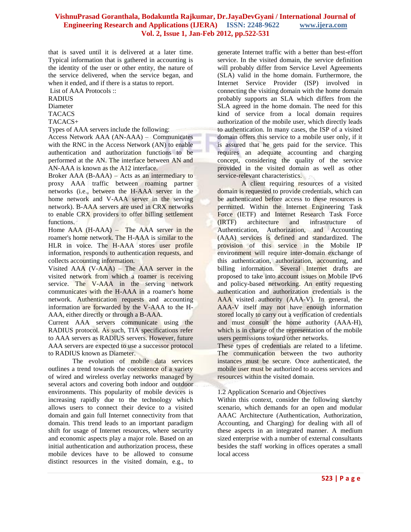that is saved until it is delivered at a later time. Typical information that is gathered in accounting is the identity of the user or other entity, the nature of the service delivered, when the service began, and when it ended, and if there is a status to report.

List of AAA Protocols ::

RADIUS

Diameter

TACACS

TACACS+

Types of AAA servers include the following:

Access Network AAA (AN-AAA) – Communicates with the RNC in the Access Network (AN) to enable authentication and authorization functions to be performed at the AN. The interface between AN and AN-AAA is known as the A12 interface.

Broker AAA (B-AAA) – Acts as an intermediary to proxy AAA traffic between roaming partner networks (i.e., between the H-AAA server in the home network and V-AAA server in the serving network). B-AAA servers are used in CRX networks to enable CRX providers to offer billing settlement functions.

Home AAA (H-AAA) – The AAA server in the roamer's home network. The H-AAA is similar to the HLR in voice. The H-AAA stores user profile information, responds to authentication requests, and collects accounting information.

Visited AAA (V-AAA) – The AAA server in the visited network from which a roamer is receiving service. The V-AAA in the serving network communicates with the H-AAA in a roamer's home network. Authentication requests and accounting information are forwarded by the V-AAA to the H-AAA, either directly or through a B-AAA.

Current AAA servers communicate using the RADIUS protocol. As such, TIA specifications refer to AAA servers as RADIUS servers. However, future AAA servers are expected to use a successor protocol to RADIUS known as Diameter.

The evolution of mobile data services outlines a trend towards the coexistence of a variety of wired and wireless overlay networks managed by several actors and covering both indoor and outdoor environments. This popularity of mobile devices is increasing rapidly due to the technology which allows users to connect their device to a visited domain and gain full Internet connectivity from that domain. This trend leads to an important paradigm shift for usage of Internet resources, where security and economic aspects play a major role. Based on an initial authentication and authorization process, these mobile devices have to be allowed to consume distinct resources in the visited domain, e.g., to

generate Internet traffic with a better than best-effort service. In the visited domain, the service definition will probably differ from Service Level Agreements (SLA) valid in the home domain. Furthermore, the Internet Service Provider (ISP) involved in connecting the visiting domain with the home domain probably supports an SLA which differs from the SLA agreed in the home domain. The need for this kind of service from a local domain requires authorization of the mobile user, which directly leads to authentication. In many cases, the ISP of a visited domain offers this service to a mobile user only, if it is assured that he gets paid for the service. This requires an adequate accounting and charging concept, considering the quality of the service provided in the visited domain as well as other service-relevant characteristics.

A client requiring resources of a visited domain is requested to provide credentials, which can be authenticated before access to these resources is permitted. Within the Internet Engineering Task Force (IETF) and Internet Research Task Force (IRTF) architecture and infrastructure of Authentication, Authorization, and Accounting (AAA) services is defined and standardized. The provision of this service in the Mobile IP environment will require inter-domain exchange of this authentication, authorization, accounting, and billing information. Several Internet drafts are proposed to take into account issues on Mobile IPv6 and policy-based networking. An entity requesting authentication and authorization credentials is the AAA visited authority (AAA-V). In general, the AAA-V itself may not have enough information stored locally to carry out a verification of credentials and must consult the home authority (AAA-H), which is in charge of the representation of the mobile users permissions toward other networks.

These types of credentials are related to a lifetime. The communication between the two authority instances must be secure. Once authenticated, the mobile user must be authorized to access services and resources within the visited domain.

## 1.2 Application Scenario and Objectives

Within this context, consider the following sketchy scenario, which demands for an open and modular AAAC Architecture (Authentication, Authorization, Accounting, and Charging) for dealing with all of these aspects in an integrated manner. A medium sized enterprise with a number of external consultants besides the staff working in offices operates a small local access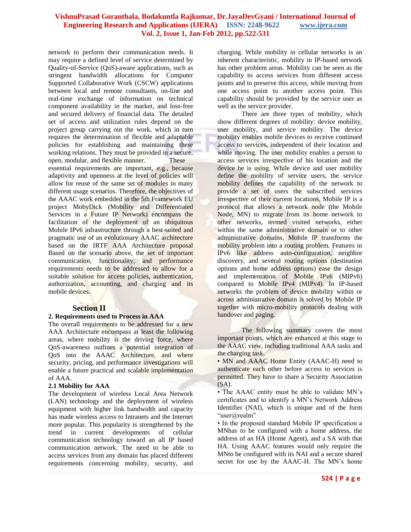network to perform their communication needs. It may require a defined level of service determined by Quality-of-Service (QoS)-aware applications, such as stringent bandwidth allocations for Computer Supported Collaborative Work (CSCW) applications between local and remote consultants, on-line and real-time exchange of information on technical component availability in the market, and loss-free and secured delivery of financial data. The detailed set of access and utilization rules depend on the project group carrying out the work, which in turn requires the determination of flexible and adaptable policies for establishing and maintaining these working relations. They must be provided in a secure, open, modular, and flexible manner. These essential requirements are important, e.g., because adaptivity and openness at the level of policies will allow for reuse of the same set of modules in many different usage scenarios. Therefore, the objectives of the AAAC work embedded in the 5th Framework EU project MobyDick (Mobility and Differentiated Services in a Future IP Network) encompass the facilitation of the deployment of an ubiquitous Mobile IPv6 infrastructure through a best-suited and pragmatic use of an evolutionary AAAC architecture based on the IRTF AAA Architecture proposal Based on the scenario above, the set of important communication, functionality, and performance requirements needs to be addressed to allow for a suitable solution for access policies, authentication, authorization, accounting, and charging and its mobile devices.

## **Section II**

## **2. Requirements used to Process in AAA**

The overall requirements to be addressed for a new AAA Architecture encompass at least the following areas, where mobility is the driving force, where QoS-awareness outlines a potential integration of QoS into the AAAC Architecture, and where security, pricing, and performance investigations will enable a future practical and scalable implementation of AAA.

#### **2.1 Mobility for AAA**

The development of wireless Local Area Network (LAN) technology and the deployment of wireless equipment with higher link bandwidth and capacity has made wireless access to Intranets and the Internet more popular. This popularity is strengthened by the trend in current developments of cellular communication technology toward an all IP based communication network. The need to be able to access services from any domain has placed different requirements concerning mobility, security, and

charging. While mobility in cellular networks is an inherent characteristic, mobility in IP-based network has other problem areas. Mobility can be seen as the capability to access services from different access points and to preserve this access, while moving from one access point to another access point. This capability should be provided by the service user as well as the service provider.

There are three types of mobility, which show different degrees of mobility: device mobility, user mobility, and service mobility. The device mobility enables mobile devices to receive continued access to services, independent of their location and while moving. The user mobility enables a person to access services irrespective of his location and the device he is using. While device and user mobility define the mobility of service users, the service mobility defines the capability of the network to provide a set of users the subscribed services irrespective of their current locations. Mobile IP is a protocol that allows a network node (the Mobile Node, MN) to migrate from its home network to other networks, termed visited networks, either within the same administrative domain or to other administrative domains. Mobile IP transforms the mobility problem into a routing problem. Features in IPv6 like address auto-configuration, neighbor discovery, and several routing options (destination options and home address options) ease the design and implementation of Mobile IPv6 (MIPv6) compared to Mobile IPv4 (MIPv4). In IP-based networks the problem of device mobility within or across administrative domain is solved by Mobile IP together with micro-mobility protocols dealing with handover and paging.

The following summary covers the most important points, which are enhanced at this stage to the AAAC view, including traditional AAA tasks and the charging task.

• MN and AAAC Home Entity (AAAC-H) need to authenticate each other before access to services is permitted. They have to share a Security Association (SA).

• The AAAC entity must be able to validate MN's certificates and to identify a MN's Network Address Identifier (NAI), which is unique and of the form "user@realm"

• In the proposed standard Mobile IP specification a MNhas to be configured with a home address, the address of an HA (Home Agent), and a SA with that HA. Using AAAC features would only require the MNto be configured with its NAI and a secure shared secret for use by the AAAC-H. The MN's home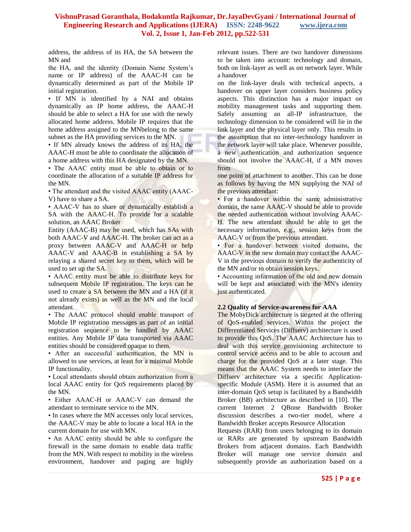address, the address of its HA, the SA between the MN and

the HA, and the identity (Domain Name System's name or IP address) of the AAAC-H can be dynamically determined as part of the Mobile IP initial registration.

• If MN is identified by a NAI and obtains dynamically an IP home address, the AAAC-H should be able to select a HA for use with the newly allocated home address. Mobile IP requires that the home address assigned to the MNbelong to the same subnet as the HA providing services to the MN.

• If MN already knows the address of its HA, the AAAC-H must be able to coordinate the allocation of a home address with this HA designated by the MN.

• The AAAC entity must be able to obtain or to coordinate the allocation of a suitable IP address for the MN.

• The attendant and the visited AAAC entity (AAAC-V) have to share a SA.

• AAAC-V has to share or dynamically establish a SA with the AAAC-H. To provide for a scalable solution, an AAAC Broker

Entity (AAAC-B) may be used, which has SAs with both AAAC-V and AAAC-H. The broker can act as a proxy between AAAC-V and AAAC-H or help AAAC-V and AAAC-B in establishing a SA by relaying a shared secret key to them, which will be used to set up the SA.

• AAAC entity must be able to distribute keys for subsequent Mobile IP registration. The keys can be used to create a SA between the MN and a HA (if it not already exists) as well as the MN and the local attendant.

• The AAAC protocol should enable transport of Mobile IP registration messages as part of an initial registration sequence to be handled by AAAC entities. Any Mobile IP data transported via AAAC entities should be considered opaque to them.

• After an successful authentication, the MN is allowed to use services, at least for a minimal Mobile IP functionality.

• Local attendants should obtain authorization from a local AAAC entity for QoS requirements placed by the MN.

• Either AAAC-H or AAAC-V can demand the attendant to terminate service to the MN.

• In cases where the MN accesses only local services, the AAAC-V may be able to locate a local HA in the current domain for use with MN.

• An AAAC entity should be able to configure the firewall in the same domain to enable data traffic from the MN. With respect to mobility in the wireless environment, handover and paging are highly relevant issues. There are two handover dimensions to be taken into account: technology and domain, both on link-layer as well as on network layer. While a handover

on the link-layer deals with technical aspects, a handover on upper layer considers business policy aspects. This distinction has a major impact on mobility management tasks and supporting them. Safely assuming an all-IP infrastructure, the technology dimension to be considered will lie in the link layer and the physical layer only. This results in the assumption that no inter-technology handover in the network layer will take place. Whenever possible, a new authentication and authorization sequence should not involve the AAAC-H, if a MN moves from

one point of attachment to another. This can be done as follows by having the MN supplying the NAI of the previous attendant:

• For a handover within the same administrative domain, the same AAAC-V should be able to provide the needed authentication without involving AAAC-H. The new attendant should be able to get the necessary information, e.g., session keys from the AAAC-V or from the previous attendant.

• For a handover between visited domains, the AAAC-V in the new domain may contact the AAAC-V in the previous domain to verify the authenticity of the MN and/or to obtain session keys.

• Accounting information of the old and new domain will be kept and associated with the MN's identity just authenticated.

## **2.2 Quality of Service-awareness for AAA**

The MobyDick architecture is targeted at the offering of QoS-enabled services. Within the project the Differentiated Services (Diffserv) architecture is used to provide this QoS. The AAAC Architecture has to deal with this service provisioning architecture to control service access and to be able to account and charge for the provided QoS at a later stage. This means that the AAAC System needs to interface the Diffserv architecture via a specific Applicationspecific Module (ASM). Here it is assumed that an inter-domain QoS setup is facilitated by a Bandwidth Broker (BB) architecture as described in [10]. The current Internet 2 QBone Bandwidth Broker discussion describes a two-tier model, where a Bandwidth Broker accepts Resource Allocation

Requests (RAR) from users belonging to its domain or RARs are generated by upstream Bandwidth Brokers from adjacent domains. Each Bandwidth Broker will manage one service domain and subsequently provide an authorization based on a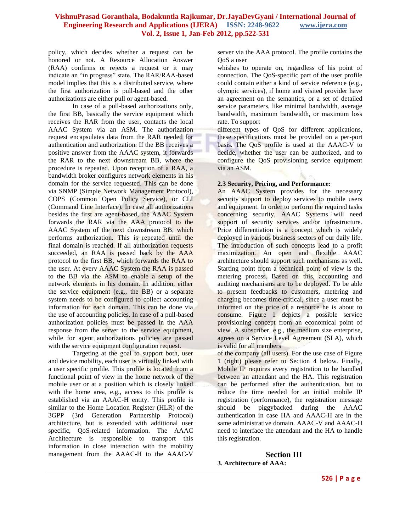policy, which decides whether a request can be honored or not. A Resource Allocation Answer (RAA) confirms or rejects a request or it may indicate an "in progress" state. The RAR/RAA-based model implies that this is a distributed service, where the first authorization is pull-based and the other authorizations are either pull or agent-based.

In case of a pull-based authorizations only, the first BB, basically the service equipment which receives the RAR from the user, contacts the local AAAC System via an ASM. The authorization request encapsulates data from the RAR needed for authentication and authorization. If the BB receives a positive answer from the AAAC system, it forwards the RAR to the next downstream BB, where the procedure is repeated. Upon reception of a RAA, a bandwidth broker configures network elements in his domain for the service requested. This can be done via SNMP (Simple Network Management Protocol), COPS (Common Open Policy Service), or CLI (Command Line Interface). In case all authorizations besides the first are agent-based, the AAAC System forwards the RAR via the AAA protocol to the AAAC System of the next downstream BB, which performs authorization. This is repeated until the final domain is reached. If all authorization requests succeeded, an RAA is passed back by the AAA protocol to the first BB, which forwards the RAA to the user. At every AAAC System the RAA is passed to the BB via the ASM to enable a setup of the network elements in his domain. In addition, either the service equipment (e.g., the BB) or a separate system needs to be configured to collect accounting information for each domain. This can be done via the use of accounting policies. In case of a pull-based authorization policies must be passed in the AAA response from the server to the service equipment, while for agent authorizations policies are passed with the service equipment configuration request.

Targeting at the goal to support both, user and device mobility, each user is virtually linked with a user specific profile. This profile is located from a functional point of view in the home network of the mobile user or at a position which is closely linked with the home area, e.g., access to this profile is established via an AAAC-H entity. This profile is similar to the Home Location Register (HLR) of the 3GPP (3rd Generation Partnership Protocol) architecture, but is extended with additional user specific, QoS-related information. The AAAC Architecture is responsible to transport this information in close interaction with the mobility management from the AAAC-H to the AAAC-V

server via the AAA protocol. The profile contains the QoS a user

whishes to operate on, regardless of his point of connection. The QoS-specific part of the user profile could contain either a kind of service reference (e.g., olympic services), if home and visited provider have an agreement on the semantics, or a set of detailed service parameters, like minimal bandwidth, average bandwidth, maximum bandwidth, or maximum loss rate. To support

different types of QoS for different applications, these specifications must be provided on a per-port basis. The QoS profile is used at the AAAC-V to decide, whether the user can be authorized, and to configure the QoS provisioning service equipment via an ASM.

## **2.3 Security, Pricing, and Performance:**

An AAAC System provides for the necessary security support to deploy services to mobile users and equipment. In order to perform the required tasks concerning security, AAAC Systems will need support of security services and/or infrastructure. Price differentiation is a concept which is widely deployed in various business sectors of our daily life. The introduction of such concepts lead to a profit maximization. An open and flexible AAAC architecture should support such mechanisms as well. Starting point from a technical point of view is the metering process. Based on this, accounting and auditing mechanisms are to be deployed. To be able to present feedbacks to customers, metering and charging becomes time-critical, since a user must be informed on the price of a resource he is about to consume. Figure 1 depicts a possible service provisioning concept from an economical point of view. A subscriber, e.g., the medium size enterprise, agrees on a Service Level Agreement (SLA), which is valid for all members

of the company (all users). For the use case of Figure 1 (right) please refer to Section 4 below. Finally, Mobile IP requires every registration to be handled between an attendant and the HA. This registration can be performed after the authentication, but to reduce the time needed for an initial mobile IP registration (performance), the registration message should be piggybacked during the AAAC authentication in case HA and AAAC-H are in the same administrative domain. AAAC-V and AAAC-H need to interface the attendant and the HA to handle this registration.

**Section III 3. Architecture of AAA:**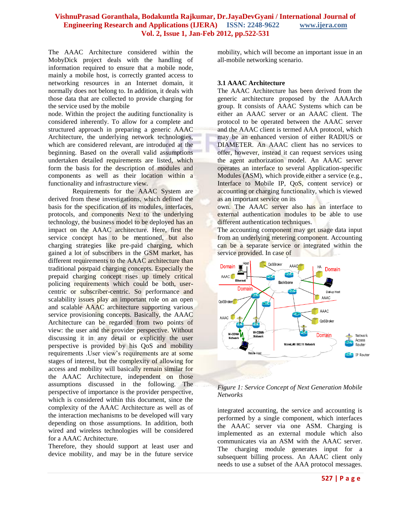The AAAC Architecture considered within the MobyDick project deals with the handling of information required to ensure that a mobile node, mainly a mobile host, is correctly granted access to networking resources in an Internet domain, it normally does not belong to. In addition, it deals with those data that are collected to provide charging for the service used by the mobile

node. Within the project the auditing functionality is considered inherently. To allow for a complete and structured approach in preparing a generic AAAC Architecture, the underlying network technologies, which are considered relevant, are introduced at the beginning. Based on the overall valid assumptions undertaken detailed requirements are listed, which form the basis for the description of modules and components as well as their location within a functionality and infrastructure view.

Requirements for the AAAC System are derived from these investigations, which defined the basis for the specification of its modules, interfaces, protocols, and components Next to the underlying technology, the business model to be deployed has an impact on the AAAC architecture. Here, first the service concept has to be mentioned, but also charging strategies like pre-paid charging, which gained a lot of subscribers in the GSM market, has different requirements to the AAAC architecture than traditional postpaid charging concepts. Especially the prepaid charging concept rises up timely critical policing requirements which could be both, usercentric or subscriber-centric. So performance and scalability issues play an important role on an open and scalable AAAC architecture supporting various service provisioning concepts. Basically, the AAAC Architecture can be regarded from two points of view: the user and the provider perspective. Without discussing it in any detail or explicitly the user perspective is provided by his QoS and mobility requirements .User view's requirements are at some stages of interest, but the complexity of allowing for access and mobility will basically remain similar for the AAAC Architecture, independent on those assumptions discussed in the following. The perspective of importance is the provider perspective, which is considered within this document, since the complexity of the AAAC Architecture as well as of the interaction mechanisms to be developed will vary depending on those assumptions. In addition, both wired and wireless technologies will be considered for a AAAC Architecture.

Therefore, they should support at least user and device mobility, and may be in the future service

mobility, which will become an important issue in an all-mobile networking scenario.

#### **3.1 AAAC Architecture**

The AAAC Architecture has been derived from the generic architecture proposed by the AAAArch group. It consists of AAAC Systems which can be either an AAAC server or an AAAC client. The protocol to be operated between the AAAC server and the AAAC client is termed AAA protocol, which may be an enhanced version of either RADIUS or DIAMETER. An AAAC client has no services to offer, however, instead it can request services using the agent authorization model. An AAAC server operates an interface to several Application-specific Modules (ASM), which provide either a service (e.g., Interface to Mobile IP, QoS, content service) or accounting or charging functionality, which is viewed as an important service on its

own. The AAAC server also has an interface to external authentication modules to be able to use different authentication techniques.

The accounting component may get usage data input from an underlying metering component. Accounting can be a separate service or integrated within the service provided. In case of





integrated accounting, the service and accounting is performed by a single component, which interfaces the AAAC server via one ASM. Charging is implemented as an external module which also communicates via an ASM with the AAAC server. The charging module generates input for a subsequent billing process. An AAAC client only needs to use a subset of the AAA protocol messages.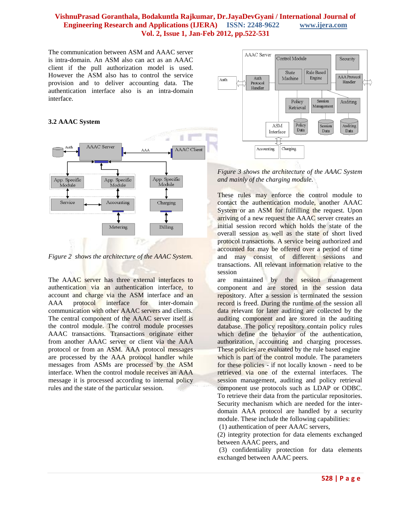The communication between ASM and AAAC server is intra-domain. An ASM also can act as an AAAC client if the pull authorization model is used. However the ASM also has to control the service provision and to deliver accounting data. The authentication interface also is an intra-domain interface.

## **3.2 AAAC System**



*Figure 2 shows the architecture of the AAAC System.* 

The AAAC server has three external interfaces to authentication via an authentication interface, to account and charge via the ASM interface and an AAA protocol interface for inter-domain communication with other AAAC servers and clients. The central component of the AAAC server itself is the control module. The control module processes AAAC transactions. Transactions originate either from another AAAC server or client via the AAA protocol or from an ASM. AAA protocol messages are processed by the AAA protocol handler while messages from ASMs are processed by the ASM interface. When the control module receives an AAA message it is processed according to internal policy rules and the state of the particular session.



*Figure 3 shows the architecture of the AAAC System and mainly of the charging module.*

These rules may enforce the control module to contact the authentication module, another AAAC System or an ASM for fulfilling the request. Upon arriving of a new request the AAAC server creates an initial session record which holds the state of the overall session as well as the state of short lived protocol transactions. A service being authorized and accounted for may be offered over a period of time and may consist of different sessions and transactions. All relevant information relative to the session

are maintained by the session management component and are stored in the session data repository. After a session is terminated the session record is freed. During the runtime of the session all data relevant for later auditing are collected by the auditing component and are stored in the auditing database. The policy repository contain policy rules which define the behavior of the authentication, authorization, accounting and charging processes. These policies are evaluated by the rule based engine which is part of the control module. The parameters for these policies - if not locally known - need to be retrieved via one of the external interfaces. The session management, auditing and policy retrieval component use protocols such as LDAP or ODBC. To retrieve their data from the particular repositories. Security mechanism which are needed for the interdomain AAA protocol are handled by a security module. These include the following capabilities:

(1) authentication of peer AAAC servers,

(2) integrity protection for data elements exchanged between AAAC peers, and

(3) confidentiality protection for data elements exchanged between AAAC peers.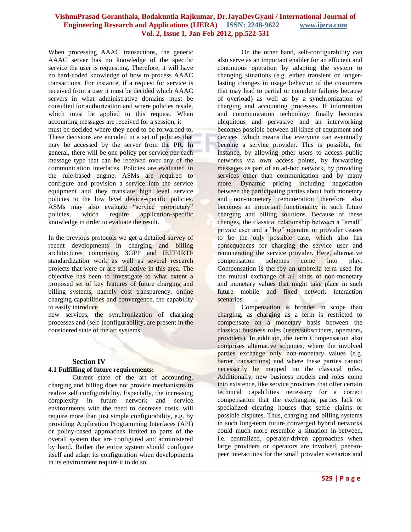When processing AAAC transactions, the generic AAAC server has no knowledge of the specific service the user is requesting. Therefore, it will have no hard-coded knowledge of how to process AAAC transactions. For instance, if a request for service is received from a user it must be decided which AAAC servers in what administrative domains must be consulted for authorization and where policies reside, which must be applied to this request. When accounting messages are received for a session, it

must be decided where they need to be forwarded to. These decisions are encoded in a set of policies that may be accessed by the server from the PR. In general, there will be one policy per service per each message type that can be received over any of the communication interfaces. Policies are evaluated in the rule-based engine. ASMs are required to configure and provision a service into the service equipment and they translate high level service policies to the low level device-specific policies. ASMs may also evaluate "service proprietary" policies, which require application-specific knowledge in order to evaluate the result.

In the previous protocols we get a detailed survey of recent developments in charging and billing architectures comprising 3GPP and IETF/IRTF standardization work as well as several research projects that were or are still active in this area. The objective has been to investigate to what extent a proposed set of key features of future charging and billing systems, namely cost transparency, online charging capabilities and convergence, the capability to easily introduce

new services, the synchronization of charging processes and (self-)configurability, are present in the considered state of the art systems.

## **Section IV**

## **4.1 Fulfilling of future requirements:**

Current state of the art of accounting, charging and billing does not provide mechanisms to realize self configurability. Especially, the increasing complexity in future network and service environments with the need to decrease costs, will require more than just simple configurability, e.g. by providing Application Programming Interfaces (API) or policy-based approaches limited to parts of the overall system that are configured and administered by hand. Rather the entire system should configure itself and adapt its configuration when developments in its environment require it to do so.

On the other hand, self-configurability can also serve as an important enabler for an efficient and continuous operation by adapting the system to changing situations (e.g. either transient or longerlasting changes in usage behavior of the customers that may lead to partial or complete failures because of overload) as well as by a synchronization of charging and accounting processes. If information and communication technology finally becomes ubiquitous and pervasive and an interworking becomes possible between all kinds of equipment and devices which means that everyone can eventually become a service provider. This is possible, for instance, by allowing other users to access public networks via own access points, by forwarding messages as part of an ad-hoc network, by providing services other than communication and by many more. Dynamic pricing including negotiation between the participating parties about both monetary and non-monetary remuneration therefore also becomes an important functionality in such future charging and billing solutions. Because of these changes, the classical relationship between a "small" private user and a "big" operator or provider ceases to be the only possible case, which also has consequences for charging the service user and remunerating the service provider. Here, alternative compensation schemes come into play. Compensation is thereby an umbrella term used for the mutual exchange of all kinds of non-monetary and monetary values that might take place in such future mobile and fixed network interaction scenarios.

Compensation is broader in scope than charging, as charging as a term is restricted to compensate on a monetary basis between the classical business roles (users/subscribers, operators, providers). In addition, the term Compensation also comprises alternative schemes, where the involved parties exchange only non-monetary values (e.g. barter transactions) and where these parties cannot necessarily be mapped on the classical roles. Additionally, new business models and roles come into existence, like service providers that offer certain technical capabilities necessary for a correct compensation that the exchanging parties lack or specialized clearing houses that settle claims or possible disputes. Thus, charging and billing systems in such long-term future converged hybrid networks could much more resemble a situation in-between, i.e. centralized, operator-driven approaches when large providers or operators are involved, peer-topeer interactions for the small provider scenarios and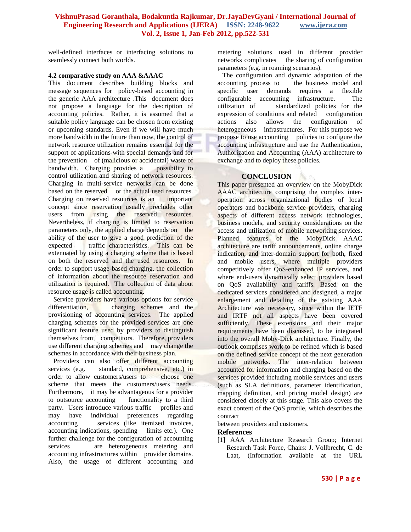well-defined interfaces or interfacing solutions to seamlessly connect both worlds.

## **4.2 comparative study on AAA &AAAC**

This document describes building blocks and message sequences for policy-based accounting in the generic AAA architecture .This document does not propose a language for the description of accounting policies. Rather, it is assumed that a suitable policy language can be chosen from existing or upcoming standards. Even if we will have much more bandwidth in the future than now, the control of network resource utilization remains essential for the support of applications with special demands and for the prevention of (malicious or accidental) waste of bandwidth. Charging provides a possibility to control utilization and sharing of network resources. Charging in multi-service networks can be done based on the reserved or the actual used resources. Charging on reserved resources is an important concept since reservation usually precludes other users from using the reserved resources. Nevertheless, if charging is limited to reservation parameters only, the applied charge depends on the ability of the user to give a good prediction of the expected traffic characteristics. This can be extenuated by using a charging scheme that is based on both the reserved and the used resources. In order to support usage-based charging, the collection of information about the resource reservation and utilization is required. The collection of data about resource usage is called accounting.

 Service providers have various options for service differentiation, charging schemes and the provisioning of accounting services. The applied charging schemes for the provided services are one significant feature used by providers to distinguish themselves from competitors. Therefore, providers use different charging schemes and may change the schemes in accordance with their business plan.

 Providers can also offer different accounting services (e.g. standard, comprehensive, etc.) in order to allow customers/users to choose one scheme that meets the customers/users needs. Furthermore, it may be advantageous for a provider to outsource accounting functionality to a third party. Users introduce various traffic profiles and may have individual preferences regarding may have individual accounting services (like itemized invoices, accounting indications, spending limits etc.). One further challenge for the configuration of accounting services are heterogeneous metering and accounting infrastructures within provider domains. Also, the usage of different accounting and

metering solutions used in different provider networks complicates the sharing of configuration parameters (e.g. in roaming scenarios).

 The configuration and dynamic adaptation of the accounting process to the business model and specific user demands requires a flexible configurable accounting infrastructure. The utilization of standardized policies for the expression of conditions and related configuration actions also allows the configuration of heterogeneous infrastructures. For this purpose we propose to use accounting policies to configure the accounting infrastructure and use the Authentication, Authorization and Accounting (AAA) architecture to exchange and to deploy these policies.

## **CONCLUSION**

This paper presented an overview on the MobyDick AAAC architecture comprising the complex interoperation across organizational bodies of local operators and backbone service providers, charging aspects of different access network technologies, business models, and security considerations on the access and utilization of mobile networking services. Planned features of the MobyDick AAAC architecture are tariff announcements, online charge indication, and inter-domain support for both, fixed and mobile users, where multiple providers competitively offer QoS-enhanced IP services, and where end-users dynamically select providers based on QoS availability and tariffs. Based on the dedicated services considered and designed, a major enlargement and detailing of the existing AAA Architecture was necessary, since within the IETF and IRTF not all aspects have been covered sufficiently. These extensions and their major requirements have been discussed, to be integrated into the overall Moby-Dick architecture. Finally, the outlook comprises work to be refined which is based on the defined service concept of the next generation mobile networks. The inter-relation between accounted for information and charging based on the services provided including mobile services and users (such as SLA definitions, parameter identification, mapping definition, and pricing model design) are considered closely at this stage. This also covers the exact content of the QoS profile, which describes the contract

between providers and customers.

## **References**

[1] AAA Architecture Research Group; Internet Research Task Force, Chairs: J. Vollbrecht, C. de Laat, (Information available at the URL